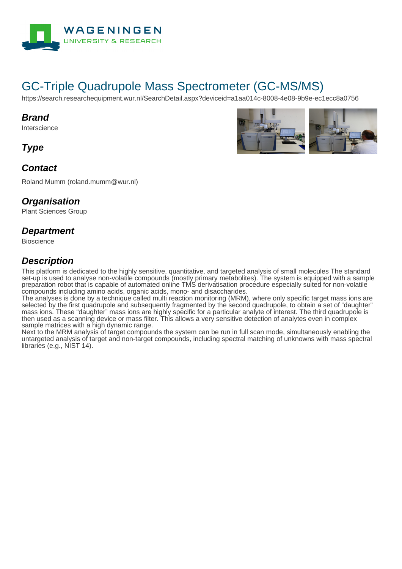

# GC-Triple Quadrupole Mass Spectrometer (GC-MS/MS)

https://search.researchequipment.wur.nl/SearchDetail.aspx?deviceid=a1aa014c-8008-4e08-9b9e-ec1ecc8a0756

#### **Brand**

Interscience

**Type**

### **Contact**

Roland Mumm (roland.mumm@wur.nl)

#### **Organisation**

Plant Sciences Group

#### **Department**

Bioscience

### **Description**

This platform is dedicated to the highly sensitive, quantitative, and targeted analysis of small molecules The standard set-up is used to analyse non-volatile compounds (mostly primary metabolites). The system is equipped with a sample preparation robot that is capable of automated online TMS derivatisation procedure especially suited for non-volatile compounds including amino acids, organic acids, mono- and disaccharides.

The analyses is done by a technique called multi reaction monitoring (MRM), where only specific target mass ions are selected by the first quadrupole and subsequently fragmented by the second quadrupole, to obtain a set of "daughter" mass ions. These "daughter" mass ions are highly specific for a particular analyte of interest. The third quadrupole is then used as a scanning device or mass filter. This allows a very sensitive detection of analytes even in complex sample matrices with a high dynamic range.

Next to the MRM analysis of target compounds the system can be run in full scan mode, simultaneously enabling the untargeted analysis of target and non-target compounds, including spectral matching of unknowns with mass spectral libraries (e.g., NIST 14).